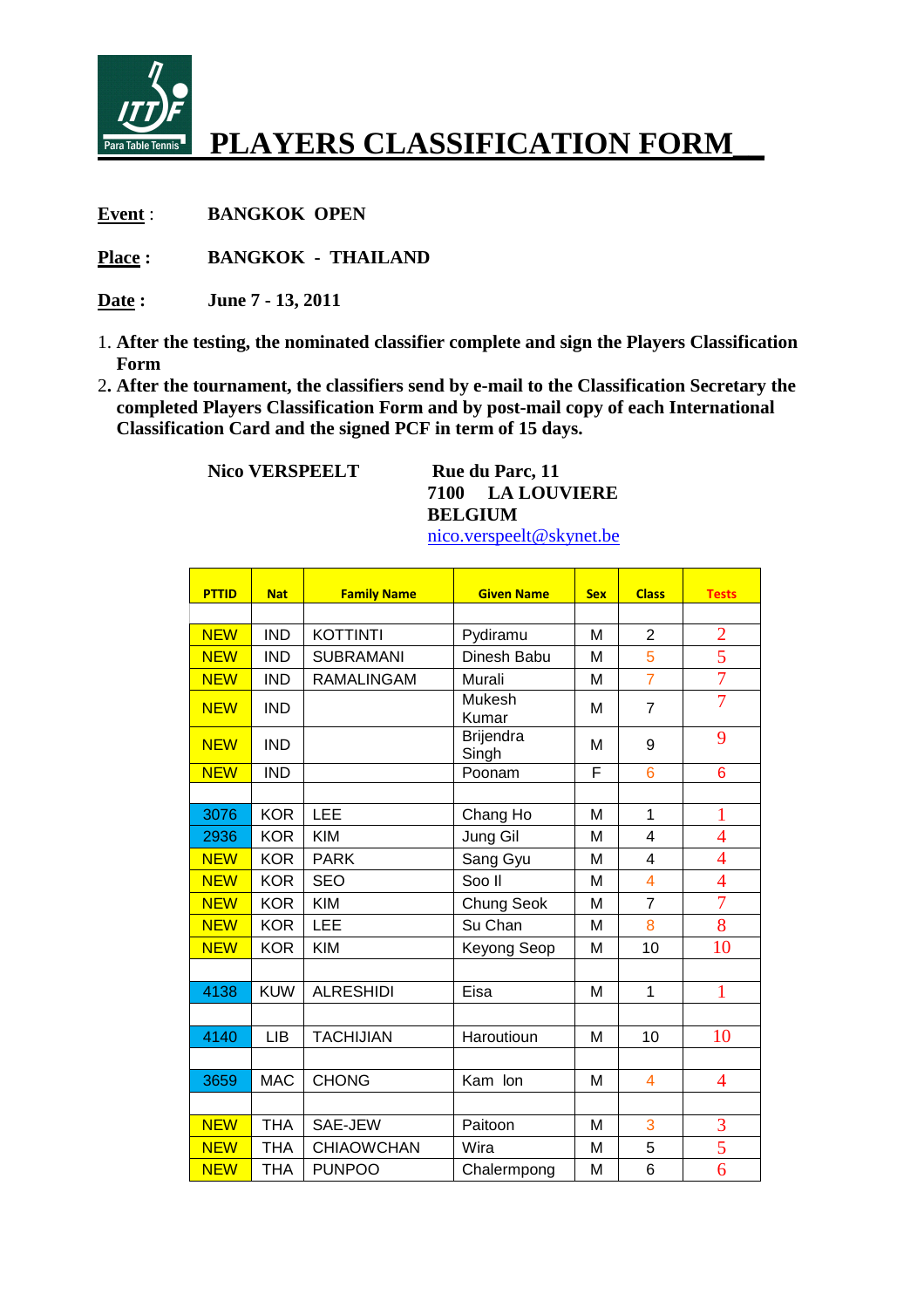

## **PLAYERS CLASSIFICATION FORM\_\_**

**Event** : **BANGKOK OPEN** 

**Place : BANGKOK - THAILAND** 

**Date : June 7 - 13, 2011** 

- 1. **After the testing, the nominated classifier complete and sign the Players Classification Form**
- 2**. After the tournament, the classifiers send by e-mail to the Classification Secretary the completed Players Classification Form and by post-mail copy of each International Classification Card and the signed PCF in term of 15 days.**

**Nico VERSPEELT** Rue du Parc, 11

**7100 LA LOUVIERE BELGIUM** 

nico.verspeelt@skynet.be

| <b>PTTID</b> | <b>Nat</b> | <b>Family Name</b> | <b>Given Name</b>         | <b>Sex</b> | <b>Class</b>    | <b>Tests</b>   |
|--------------|------------|--------------------|---------------------------|------------|-----------------|----------------|
|              |            |                    |                           |            |                 |                |
| <b>NEW</b>   | <b>IND</b> | <b>KOTTINTI</b>    | Pydiramu                  | М          | 2               | $rac{2}{5}$    |
| <b>NEW</b>   | <b>IND</b> | <b>SUBRAMANI</b>   | Dinesh Babu               | M          | 5               |                |
| <b>NEW</b>   | <b>IND</b> | <b>RAMALINGAM</b>  | Murali                    | М          | $\overline{7}$  | $\overline{7}$ |
| <b>NEW</b>   | <b>IND</b> |                    | Mukesh<br>Kumar           | М          | $\overline{7}$  | $\overline{7}$ |
| <b>NEW</b>   | <b>IND</b> |                    | <b>Brijendra</b><br>Singh | М          | 9               | 9              |
| <b>NEW</b>   | <b>IND</b> |                    | Poonam                    | F          | $6\phantom{1}6$ | 6              |
|              |            |                    |                           |            |                 |                |
| 3076         | <b>KOR</b> | LEE                | Chang Ho                  | M          | 1               | $\mathbf{1}$   |
| 2936         | <b>KOR</b> | <b>KIM</b>         | Jung Gil                  | M          | $\overline{4}$  | $\overline{4}$ |
| <b>NEW</b>   | <b>KOR</b> | <b>PARK</b>        | Sang Gyu                  | M          | 4               | $\overline{4}$ |
| <b>NEW</b>   | <b>KOR</b> | <b>SEO</b>         | Soo II                    | M          | $\overline{4}$  | $\overline{4}$ |
| <b>NEW</b>   | <b>KOR</b> | <b>KIM</b>         | Chung Seok                | M          | $\overline{7}$  | $\overline{7}$ |
| <b>NEW</b>   | <b>KOR</b> | <b>LEE</b>         | Su Chan                   | Μ          | 8               | 8              |
| <b>NEW</b>   | <b>KOR</b> | <b>KIM</b>         | Keyong Seop               | Μ          | 10              | 10             |
|              |            |                    |                           |            |                 |                |
| 4138         | <b>KUW</b> | <b>ALRESHIDI</b>   | Eisa                      | M          | 1               | 1              |
|              |            |                    |                           |            |                 |                |
| 4140         | <b>LIB</b> | <b>TACHIJIAN</b>   | Haroutioun                | M          | 10              | 10             |
|              |            |                    |                           |            |                 |                |
| 3659         | <b>MAC</b> | <b>CHONG</b>       | Kam lon                   | М          | $\overline{4}$  | 4              |
|              |            |                    |                           |            |                 |                |
| <b>NEW</b>   | <b>THA</b> | SAE-JEW            | Paitoon                   | M          | 3               | 3              |
| <b>NEW</b>   | <b>THA</b> | <b>CHIAOWCHAN</b>  | Wira                      | M          | 5               | 5              |
| <b>NEW</b>   | <b>THA</b> | <b>PUNPOO</b>      | Chalermpong               | M          | 6               | $\overline{6}$ |